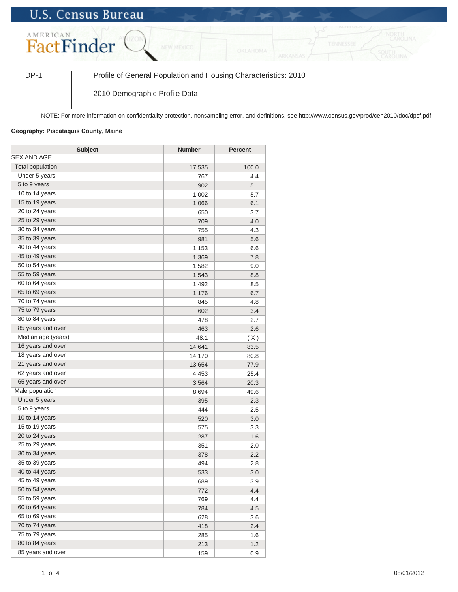## **U.S. Census Bureau**



DP-1 Profile of General Population and Housing Characteristics: 2010

2010 Demographic Profile Data

NOTE: For more information on confidentiality protection, nonsampling error, and definitions, see http://www.census.gov/prod/cen2010/doc/dpsf.pdf.

## **Geography: Piscataquis County, Maine**

| <b>Subject</b>          | <b>Number</b> | <b>Percent</b> |
|-------------------------|---------------|----------------|
| <b>SEX AND AGE</b>      |               |                |
| <b>Total population</b> | 17,535        | 100.0          |
| Under 5 years           | 767           | 4.4            |
| 5 to 9 years            | 902           | 5.1            |
| 10 to 14 years          | 1,002         | 5.7            |
| 15 to 19 years          | 1,066         | 6.1            |
| 20 to 24 years          | 650           | 3.7            |
| 25 to 29 years          | 709           | 4.0            |
| 30 to 34 years          | 755           | 4.3            |
| 35 to 39 years          | 981           | 5.6            |
| 40 to 44 years          | 1,153         | 6.6            |
| 45 to 49 years          | 1,369         | 7.8            |
| 50 to 54 years          | 1,582         | 9.0            |
| 55 to 59 years          | 1,543         | 8.8            |
| 60 to 64 years          | 1,492         | 8.5            |
| 65 to 69 years          | 1,176         | 6.7            |
| 70 to 74 years          | 845           | 4.8            |
| 75 to 79 years          | 602           | 3.4            |
| 80 to 84 years          | 478           | 2.7            |
| 85 years and over       | 463           | 2.6            |
| Median age (years)      | 48.1          | (X)            |
| 16 years and over       | 14,641        | 83.5           |
| 18 years and over       | 14,170        | 80.8           |
| 21 years and over       | 13,654        | 77.9           |
| 62 years and over       | 4,453         | 25.4           |
| 65 years and over       | 3,564         | 20.3           |
| Male population         | 8,694         | 49.6           |
| Under 5 years           | 395           | 2.3            |
| 5 to 9 years            | 444           | 2.5            |
| 10 to 14 years          | 520           | 3.0            |
| 15 to 19 years          | 575           | 3.3            |
| 20 to 24 years          | 287           | 1.6            |
| 25 to 29 years          | 351           | 2.0            |
| 30 to 34 years          | 378           | 2.2            |
| 35 to 39 years          | 494           | 2.8            |
| 40 to 44 years          | 533           | 3.0            |
| 45 to 49 years          | 689           | 3.9            |
| 50 to 54 years          | 772           | 4.4            |
| 55 to 59 years          | 769           | 4.4            |
| 60 to 64 years          | 784           | 4.5            |
| 65 to 69 years          | 628           | 3.6            |
| 70 to 74 years          | 418           | 2.4            |
| 75 to 79 years          | 285           | 1.6            |
| 80 to 84 years          | 213           | 1.2            |
| 85 years and over       | 159           | 0.9            |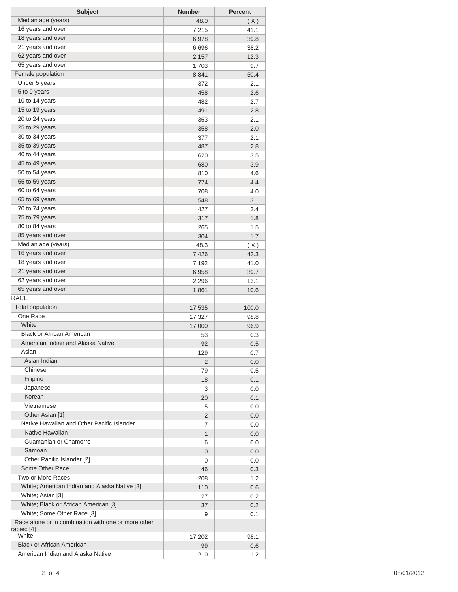| <b>Subject</b>                                      | <b>Number</b>  | <b>Percent</b> |
|-----------------------------------------------------|----------------|----------------|
| Median age (years)                                  | 48.0           | (X)            |
| 16 years and over                                   | 7,215          | 41.1           |
| 18 years and over                                   | 6,978          | 39.8           |
| 21 years and over                                   | 6,696          | 38.2           |
| 62 years and over                                   | 2,157          | 12.3           |
| 65 years and over                                   | 1,703          | 9.7            |
| Female population                                   | 8,841          | 50.4           |
| Under 5 years                                       | 372            | 2.1            |
| 5 to 9 years                                        | 458            | 2.6            |
| 10 to 14 years                                      | 482            | 2.7            |
| 15 to 19 years                                      | 491            | 2.8            |
| 20 to 24 years                                      | 363            | 2.1            |
| 25 to 29 years                                      | 358            | 2.0            |
| 30 to 34 years                                      | 377            | 2.1            |
| 35 to 39 years                                      | 487            | 2.8            |
| 40 to 44 years                                      | 620            | 3.5            |
| 45 to 49 years                                      | 680            | 3.9            |
| 50 to 54 years                                      | 810            | 4.6            |
| 55 to 59 years                                      | 774            | 4.4            |
| 60 to 64 years                                      | 708            | 4.0            |
| 65 to 69 years                                      | 548            | 3.1            |
| 70 to 74 years                                      | 427            | 2.4            |
| 75 to 79 years                                      | 317            | 1.8            |
| 80 to 84 years                                      | 265            | 1.5            |
| 85 years and over                                   | 304            | 1.7            |
| Median age (years)                                  | 48.3           | (X)            |
| 16 years and over                                   | 7,426          | 42.3           |
| 18 years and over                                   | 7,192          | 41.0           |
| 21 years and over                                   | 6,958          | 39.7           |
| 62 years and over                                   | 2,296          | 13.1           |
| 65 years and over                                   | 1,861          | 10.6           |
| <b>RACE</b>                                         |                |                |
| <b>Total population</b>                             | 17,535         | 100.0          |
| One Race                                            | 17,327         | 98.8           |
| White                                               | 17,000         | 96.9           |
| <b>Black or African American</b>                    | 53             | 0.3            |
| American Indian and Alaska Native                   | 92             | 0.5            |
| Asian                                               | 129            | 0.7            |
| Asian Indian                                        | 2              | 0.0            |
| Chinese                                             | 79             | 0.5            |
| Filipino                                            | 18             | 0.1            |
| Japanese                                            | 3              | 0.0            |
| Korean                                              | 20             | 0.1            |
| Vietnamese                                          | 5              | 0.0            |
| Other Asian [1]                                     | $\overline{2}$ | 0.0            |
| Native Hawaiian and Other Pacific Islander          | 7              | 0.0            |
| Native Hawaiian                                     | $\mathbf{1}$   | 0.0            |
| Guamanian or Chamorro                               | 6              | 0.0            |
| Samoan                                              | $\overline{0}$ | 0.0            |
| Other Pacific Islander [2]                          | 0              | 0.0            |
| Some Other Race                                     | 46             | 0.3            |
| Two or More Races                                   | 208            | 1.2            |
| White; American Indian and Alaska Native [3]        | 110            | 0.6            |
| White; Asian [3]                                    | 27             | 0.2            |
| White; Black or African American [3]                | 37             | 0.2            |
| White; Some Other Race [3]                          | 9              | 0.1            |
| Race alone or in combination with one or more other |                |                |
| races: [4]                                          |                |                |
| White                                               | 17,202         | 98.1           |
| <b>Black or African American</b>                    | 99             | 0.6            |
| American Indian and Alaska Native                   | 210            | 1.2            |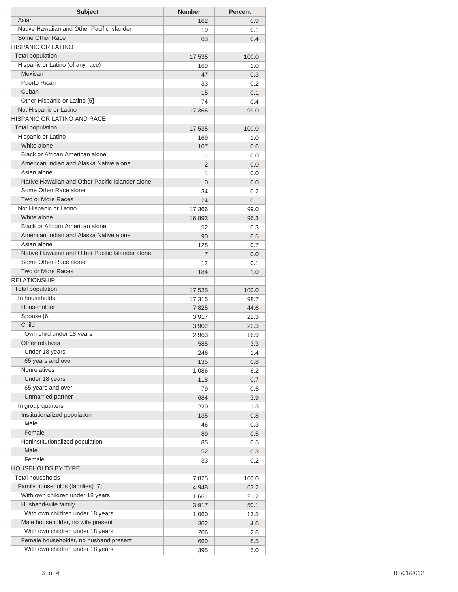| <b>Subject</b>                                   | <b>Number</b>  | <b>Percent</b> |
|--------------------------------------------------|----------------|----------------|
| Asian                                            | 162            | 0.9            |
| Native Hawaiian and Other Pacific Islander       | 19             | 0.1            |
| Some Other Race                                  | 63             | 0.4            |
| <b>HISPANIC OR LATINO</b>                        |                |                |
| Total population                                 | 17,535         | 100.0          |
| Hispanic or Latino (of any race)                 | 169            | 1.0            |
| Mexican                                          | 47             | 0.3            |
| Puerto Rican                                     | 33             | 0.2            |
| Cuban                                            | 15             | 0.1            |
| Other Hispanic or Latino [5]                     | 74             | 0.4            |
| Not Hispanic or Latino                           | 17,366         | 99.0           |
| HISPANIC OR LATINO AND RACE                      |                |                |
| Total population                                 | 17,535         | 100.0          |
| Hispanic or Latino                               | 169            | 1.0            |
| White alone                                      | 107            | 0.6            |
| Black or African American alone                  | 1              | 0.0            |
| American Indian and Alaska Native alone          | $\overline{2}$ | 0.0            |
| Asian alone                                      | 1              | 0.0            |
| Native Hawaiian and Other Pacific Islander alone |                |                |
| Some Other Race alone                            | $\Omega$       | 0.0            |
| Two or More Races                                | 34             | 0.2            |
| Not Hispanic or Latino                           | 24             | 0.1            |
| White alone                                      | 17,366         | 99.0           |
| Black or African American alone                  | 16,893         | 96.3           |
|                                                  | 52             | 0.3            |
| American Indian and Alaska Native alone          | 90             | 0.5            |
| Asian alone                                      | 128            | 0.7            |
| Native Hawaiian and Other Pacific Islander alone | 7              | 0.0            |
| Some Other Race alone                            | 12             | 0.1            |
| Two or More Races                                | 184            | 1.0            |
| <b>RELATIONSHIP</b>                              |                |                |
| <b>Total population</b>                          | 17,535         | 100.0          |
| In households                                    | 17,315         | 98.7           |
| Householder                                      | 7,825          | 44.6           |
| Spouse [6]                                       | 3,917          | 22.3           |
| Child                                            | 3,902          | 22.3           |
| Own child under 18 years                         | 2,963          | 16.9           |
| Other relatives                                  | 585            | 3.3            |
| Under 18 years                                   | 246            | 1.4            |
| 65 years and over                                | 135            | 0.8            |
| <b>Nonrelatives</b>                              | 1,086          | 6.2            |
| Under 18 years                                   | 118            | 0.7            |
| 65 years and over                                | 79             | 0.5            |
| Unmarried partner                                | 684            | 3.9            |
| In group quarters                                | 220            | 1.3            |
| Institutionalized population                     | 135            | 0.8            |
| Male                                             | 46             | 0.3            |
| Female                                           | 89             | 0.5            |
| Noninstitutionalized population                  | 85             | 0.5            |
| Male                                             | 52             | 0.3            |
| Female                                           | 33             | 0.2            |
| <b>HOUSEHOLDS BY TYPE</b>                        |                |                |
| <b>Total households</b>                          | 7,825          | 100.0          |
| Family households (families) [7]                 | 4,948          | 63.2           |
| With own children under 18 years                 | 1,661          | 21.2           |
| Husband-wife family                              | 3,917          | 50.1           |
| With own children under 18 years                 | 1,060          | 13.5           |
| Male householder, no wife present                | 362            | 4.6            |
| With own children under 18 years                 | 206            | 2.6            |
| Female householder, no husband present           | 669            | 8.5            |
| With own children under 18 years                 | 395            | 5.0            |